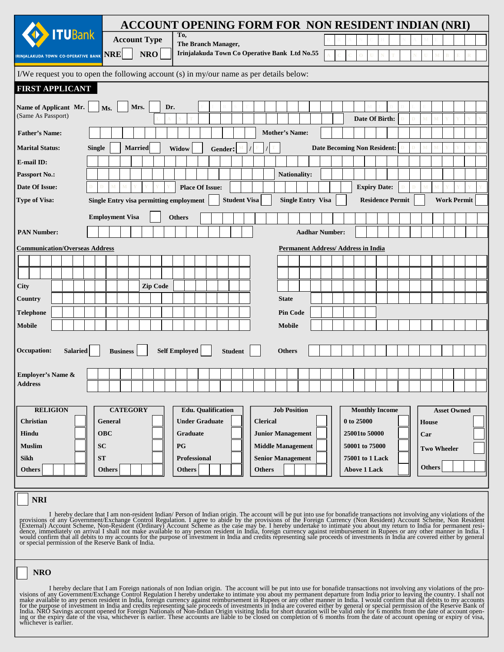|                                                                                         |                                                                                                                                                                                                                                                                                                                                                                                                                       | ACCOUNT OPENING FORM FOR NON RESIDENT INDIAN (NRI)                                                                                                                      |                          |                                           |                         |                    |  |  |  |  |  |
|-----------------------------------------------------------------------------------------|-----------------------------------------------------------------------------------------------------------------------------------------------------------------------------------------------------------------------------------------------------------------------------------------------------------------------------------------------------------------------------------------------------------------------|-------------------------------------------------------------------------------------------------------------------------------------------------------------------------|--------------------------|-------------------------------------------|-------------------------|--------------------|--|--|--|--|--|
| <b>TUBank</b>                                                                           | <b>Account Type</b>                                                                                                                                                                                                                                                                                                                                                                                                   | To,<br>The Branch Manager,                                                                                                                                              |                          |                                           |                         |                    |  |  |  |  |  |
| IRINJALAKUDA TOWN CO-OPERATIVE BANK NRP                                                 | <b>NRO</b>                                                                                                                                                                                                                                                                                                                                                                                                            | Irinjalakuda Town Co Operative Bank Ltd No.55                                                                                                                           |                          |                                           |                         |                    |  |  |  |  |  |
| I/We request you to open the following account (s) in my/our name as per details below: |                                                                                                                                                                                                                                                                                                                                                                                                                       |                                                                                                                                                                         |                          |                                           |                         |                    |  |  |  |  |  |
| <b>FIRST APPLICANT</b>                                                                  |                                                                                                                                                                                                                                                                                                                                                                                                                       |                                                                                                                                                                         |                          |                                           |                         |                    |  |  |  |  |  |
| Name of Applicant Mr.<br>Ms.<br>(Same As Passport)                                      | Mrs.<br>Dr.                                                                                                                                                                                                                                                                                                                                                                                                           |                                                                                                                                                                         |                          | Date Of Birth:                            | D                       |                    |  |  |  |  |  |
| <b>Father's Name:</b>                                                                   |                                                                                                                                                                                                                                                                                                                                                                                                                       |                                                                                                                                                                         | <b>Mother's Name:</b>    |                                           |                         |                    |  |  |  |  |  |
| <b>Marital Status:</b><br><b>Single</b>                                                 | <b>Married</b>                                                                                                                                                                                                                                                                                                                                                                                                        | Widow<br>Gender:                                                                                                                                                        |                          | <b>Date Becoming Non Resident:</b>        |                         |                    |  |  |  |  |  |
| E-mail ID:                                                                              |                                                                                                                                                                                                                                                                                                                                                                                                                       |                                                                                                                                                                         |                          |                                           |                         |                    |  |  |  |  |  |
| <b>Passport No.:</b>                                                                    |                                                                                                                                                                                                                                                                                                                                                                                                                       |                                                                                                                                                                         | Nationality:             |                                           |                         |                    |  |  |  |  |  |
| Date Of Issue:                                                                          |                                                                                                                                                                                                                                                                                                                                                                                                                       | <b>Place Of Issue:</b>                                                                                                                                                  |                          | <b>Expiry Date:</b>                       |                         |                    |  |  |  |  |  |
| <b>Type of Visa:</b>                                                                    | Single Entry visa permitting employment                                                                                                                                                                                                                                                                                                                                                                               | <b>Student Visa</b>                                                                                                                                                     | <b>Single Entry Visa</b> |                                           | <b>Residence Permit</b> | <b>Work Permit</b> |  |  |  |  |  |
|                                                                                         | <b>Employment Visa</b>                                                                                                                                                                                                                                                                                                                                                                                                | <b>Others</b>                                                                                                                                                           |                          |                                           |                         |                    |  |  |  |  |  |
| <b>PAN Number:</b>                                                                      |                                                                                                                                                                                                                                                                                                                                                                                                                       |                                                                                                                                                                         | <b>Aadhar Number:</b>    |                                           |                         |                    |  |  |  |  |  |
| <b>Communication/Overseas Address</b>                                                   |                                                                                                                                                                                                                                                                                                                                                                                                                       |                                                                                                                                                                         |                          | <b>Permanent Address/Address in India</b> |                         |                    |  |  |  |  |  |
|                                                                                         |                                                                                                                                                                                                                                                                                                                                                                                                                       |                                                                                                                                                                         |                          |                                           |                         |                    |  |  |  |  |  |
|                                                                                         |                                                                                                                                                                                                                                                                                                                                                                                                                       |                                                                                                                                                                         |                          |                                           |                         |                    |  |  |  |  |  |
| <b>City</b>                                                                             | <b>Zip Code</b>                                                                                                                                                                                                                                                                                                                                                                                                       |                                                                                                                                                                         |                          |                                           |                         |                    |  |  |  |  |  |
| <b>Country</b>                                                                          |                                                                                                                                                                                                                                                                                                                                                                                                                       |                                                                                                                                                                         | <b>State</b>             |                                           |                         |                    |  |  |  |  |  |
| <b>Telephone</b>                                                                        |                                                                                                                                                                                                                                                                                                                                                                                                                       |                                                                                                                                                                         | <b>Pin Code</b>          |                                           |                         |                    |  |  |  |  |  |
| <b>Mobile</b>                                                                           |                                                                                                                                                                                                                                                                                                                                                                                                                       |                                                                                                                                                                         | <b>Mobile</b>            |                                           |                         |                    |  |  |  |  |  |
|                                                                                         |                                                                                                                                                                                                                                                                                                                                                                                                                       |                                                                                                                                                                         |                          |                                           |                         |                    |  |  |  |  |  |
| Occupation:<br>Salaried                                                                 | <b>Business</b>                                                                                                                                                                                                                                                                                                                                                                                                       | <b>Self Employed</b><br><b>Student</b>                                                                                                                                  | <b>Others</b>            |                                           |                         |                    |  |  |  |  |  |
|                                                                                         |                                                                                                                                                                                                                                                                                                                                                                                                                       |                                                                                                                                                                         |                          |                                           |                         |                    |  |  |  |  |  |
| <b>Employer's Name &amp;</b>                                                            |                                                                                                                                                                                                                                                                                                                                                                                                                       |                                                                                                                                                                         |                          |                                           |                         |                    |  |  |  |  |  |
| <b>Address</b>                                                                          |                                                                                                                                                                                                                                                                                                                                                                                                                       |                                                                                                                                                                         |                          |                                           |                         |                    |  |  |  |  |  |
|                                                                                         |                                                                                                                                                                                                                                                                                                                                                                                                                       |                                                                                                                                                                         |                          |                                           |                         |                    |  |  |  |  |  |
| <b>RELIGION</b>                                                                         | <b>CATEGORY</b>                                                                                                                                                                                                                                                                                                                                                                                                       | <b>Edu.</b> Qualification                                                                                                                                               | <b>Job Position</b>      | <b>Monthly Income</b>                     |                         | <b>Asset Owned</b> |  |  |  |  |  |
| Christian<br>General                                                                    |                                                                                                                                                                                                                                                                                                                                                                                                                       | <b>Under Graduate</b>                                                                                                                                                   | <b>Clerical</b>          | 0 to 25000                                |                         | <b>House</b>       |  |  |  |  |  |
| <b>OBC</b><br>Hindu                                                                     |                                                                                                                                                                                                                                                                                                                                                                                                                       | Graduate                                                                                                                                                                | <b>Junior Management</b> | 25001to 50000                             |                         | Car                |  |  |  |  |  |
| <b>Muslim</b><br><b>SC</b>                                                              |                                                                                                                                                                                                                                                                                                                                                                                                                       | <b>PG</b>                                                                                                                                                               | <b>Middle Management</b> | 50001 to 75000                            |                         | <b>Two Wheeler</b> |  |  |  |  |  |
| <b>ST</b><br><b>Sikh</b>                                                                |                                                                                                                                                                                                                                                                                                                                                                                                                       | <b>Professional</b>                                                                                                                                                     | <b>Senior Management</b> | 75001 to 1 Lack                           |                         | <b>Others</b>      |  |  |  |  |  |
| <b>Others</b><br><b>Others</b>                                                          |                                                                                                                                                                                                                                                                                                                                                                                                                       | <b>Others</b>                                                                                                                                                           | <b>Others</b>            | <b>Above 1 Lack</b>                       |                         |                    |  |  |  |  |  |
|                                                                                         |                                                                                                                                                                                                                                                                                                                                                                                                                       |                                                                                                                                                                         |                          |                                           |                         |                    |  |  |  |  |  |
| <b>NRI</b>                                                                              |                                                                                                                                                                                                                                                                                                                                                                                                                       |                                                                                                                                                                         |                          |                                           |                         |                    |  |  |  |  |  |
|                                                                                         |                                                                                                                                                                                                                                                                                                                                                                                                                       | I hereby declare that I am non-resident Indian/ Person of Indian origin. The account will be put into use for bonafide transactions not involving any violations of the |                          |                                           |                         |                    |  |  |  |  |  |
| or special permission of the Reserve Bank of India.                                     | provisions of any Government/Exchange Control Regulation. I agree to abide by the provisions of the Foreign Currency (Non Resident) Account Scheme, Non Resident<br>(External) Account Scheme, Non-Resident (Ordinary) Account Sc<br>would confirm that all debits to my accounts for the purpose of investment in India and credits representing sale proceeds of investments in India are covered either by general |                                                                                                                                                                         |                          |                                           |                         |                    |  |  |  |  |  |

## **NRO**

I hereby declare that I am Foreign nationals of non Indian origin. The account will be put into use for bonafide transactions not involving any violations of the pro-<br>visions of amy Government/Exchange Control Regulation I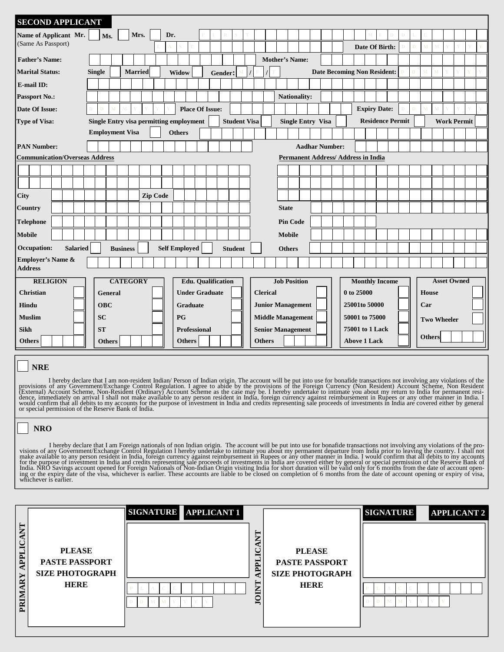| <b>SECOND APPLICANT</b>                  |               |               |  |                                                |      |                          |                      |               |                 |                           |                        |                     |  |                       |                     |                          |                                            |  |                     |  |                       |                         |   |                    |                    |  |  |
|------------------------------------------|---------------|---------------|--|------------------------------------------------|------|--------------------------|----------------------|---------------|-----------------|---------------------------|------------------------|---------------------|--|-----------------------|---------------------|--------------------------|--------------------------------------------|--|---------------------|--|-----------------------|-------------------------|---|--------------------|--------------------|--|--|
| Name of Applicant Mr.                    |               | Ms.           |  |                                                | Mrs. |                          | Dr.                  |               |                 |                           |                        |                     |  |                       |                     |                          |                                            |  |                     |  |                       |                         |   |                    |                    |  |  |
| (Same As Passport)                       |               |               |  |                                                |      |                          |                      |               |                 |                           |                        |                     |  |                       |                     |                          |                                            |  |                     |  | Date Of Birth:        |                         | D |                    |                    |  |  |
| <b>Father's Name:</b>                    |               |               |  |                                                |      |                          |                      |               |                 |                           |                        |                     |  | <b>Mother's Name:</b> |                     |                          |                                            |  |                     |  |                       |                         |   |                    |                    |  |  |
| <b>Marital Status:</b>                   | <b>Single</b> |               |  | <b>Married</b>                                 |      |                          |                      | Widow         |                 |                           | Gender:                |                     |  |                       |                     |                          | <b>Date Becoming Non Resident:</b>         |  |                     |  |                       |                         |   |                    |                    |  |  |
| E-mail ID:                               |               |               |  |                                                |      |                          |                      |               |                 |                           |                        |                     |  |                       |                     |                          |                                            |  |                     |  |                       |                         |   |                    |                    |  |  |
| <b>Passport No.:</b>                     |               |               |  |                                                |      |                          |                      |               |                 |                           |                        |                     |  |                       |                     | <b>Nationality:</b>      |                                            |  |                     |  |                       |                         |   |                    |                    |  |  |
| Date Of Issue:                           |               |               |  |                                                |      |                          |                      |               |                 | <b>Place Of Issue:</b>    |                        |                     |  |                       |                     |                          |                                            |  |                     |  | <b>Expiry Date:</b>   |                         |   |                    |                    |  |  |
| Type of Visa:                            |               |               |  | <b>Single Entry visa permitting employment</b> |      |                          |                      |               |                 |                           |                        | <b>Student Visa</b> |  |                       |                     |                          | <b>Single Entry Visa</b>                   |  |                     |  |                       | <b>Residence Permit</b> |   |                    | <b>Work Permit</b> |  |  |
|                                          |               |               |  | <b>Employment Visa</b>                         |      |                          |                      | <b>Others</b> |                 |                           |                        |                     |  |                       |                     |                          |                                            |  |                     |  |                       |                         |   |                    |                    |  |  |
| <b>PAN Number:</b>                       |               |               |  |                                                |      |                          |                      |               |                 |                           |                        |                     |  |                       |                     |                          | <b>Aadhar Number:</b>                      |  |                     |  |                       |                         |   |                    |                    |  |  |
| <b>Communication/Overseas Address</b>    |               |               |  |                                                |      |                          |                      |               |                 |                           |                        |                     |  |                       |                     |                          | <b>Permanent Address/ Address in India</b> |  |                     |  |                       |                         |   |                    |                    |  |  |
|                                          |               |               |  |                                                |      |                          |                      |               |                 |                           |                        |                     |  |                       |                     |                          |                                            |  |                     |  |                       |                         |   |                    |                    |  |  |
|                                          |               |               |  |                                                |      |                          |                      |               |                 |                           |                        |                     |  |                       |                     |                          |                                            |  |                     |  |                       |                         |   |                    |                    |  |  |
| <b>City</b>                              |               |               |  |                                                |      | <b>Zip Code</b>          |                      |               |                 |                           |                        |                     |  |                       |                     |                          |                                            |  |                     |  |                       |                         |   |                    |                    |  |  |
| <b>Country</b>                           |               |               |  |                                                |      |                          |                      |               |                 |                           |                        |                     |  |                       | <b>State</b>        |                          |                                            |  |                     |  |                       |                         |   |                    |                    |  |  |
| Telephone                                |               |               |  |                                                |      |                          |                      |               |                 |                           |                        |                     |  |                       | <b>Pin Code</b>     |                          |                                            |  |                     |  |                       |                         |   |                    |                    |  |  |
| <b>Mobile</b>                            |               |               |  |                                                |      |                          |                      |               |                 |                           |                        |                     |  |                       | <b>Mobile</b>       |                          |                                            |  |                     |  |                       |                         |   |                    |                    |  |  |
| Occupation:<br><b>Salaried</b>           |               |               |  | <b>Business</b>                                |      |                          | <b>Self Employed</b> |               |                 |                           |                        | <b>Student</b>      |  |                       | <b>Others</b>       |                          |                                            |  |                     |  |                       |                         |   |                    |                    |  |  |
| <b>Employer's Name &amp;</b>             |               |               |  |                                                |      |                          |                      |               |                 |                           |                        |                     |  |                       |                     |                          |                                            |  |                     |  |                       |                         |   |                    |                    |  |  |
| <b>Address</b>                           |               |               |  |                                                |      |                          |                      |               |                 |                           |                        |                     |  |                       |                     |                          |                                            |  |                     |  |                       |                         |   |                    |                    |  |  |
| <b>RELIGION</b>                          |               |               |  | <b>CATEGORY</b>                                |      |                          |                      |               |                 | <b>Edu.</b> Qualification |                        |                     |  |                       | <b>Job Position</b> |                          |                                            |  |                     |  | <b>Monthly Income</b> |                         |   |                    | <b>Asset Owned</b> |  |  |
| <b>Christian</b>                         |               | General       |  |                                                |      |                          |                      |               |                 | <b>Under Graduate</b>     |                        |                     |  | <b>Clerical</b>       |                     |                          |                                            |  | 0 to 25000          |  |                       |                         |   | <b>House</b>       |                    |  |  |
| Hindu                                    |               | <b>OBC</b>    |  |                                                |      |                          |                      |               | <b>Graduate</b> |                           |                        |                     |  |                       |                     | <b>Junior Management</b> |                                            |  | 25001to 50000       |  |                       |                         |   | Car                |                    |  |  |
| <b>Muslim</b>                            |               | <b>SC</b>     |  |                                                |      |                          |                      | <b>PG</b>     |                 |                           |                        |                     |  |                       |                     | <b>Middle Management</b> |                                            |  | 50001 to 75000      |  |                       |                         |   | <b>Two Wheeler</b> |                    |  |  |
| <b>ST</b><br>Professional<br><b>Sikh</b> |               |               |  |                                                |      | <b>Senior Management</b> |                      |               |                 |                           | <b>75001 to 1 Lack</b> |                     |  | <b>Others</b>         |                     |                          |                                            |  |                     |  |                       |                         |   |                    |                    |  |  |
| <b>Others</b>                            |               | <b>Others</b> |  |                                                |      |                          |                      |               | <b>Others</b>   |                           |                        |                     |  | <b>Others</b>         |                     |                          |                                            |  | <b>Above 1 Lack</b> |  |                       |                         |   |                    |                    |  |  |

## **NRE**

I hereby declare that I am non-resident Indian/ Person of Indian origin. The account will be put into use for bonafide transactions not involving any violations of the provisions of any Government/Exchange Control Regulati

## **NRO**

I hereby declare that I am Foreign nationals of non Indian origin. The account will be put into use for bonafide transactions not involving any violations of the pro-<br>visions of amy Government/Exchange Control Regulation I

| $\overline{\mathbf{z}}$<br>PFI<br>Υ<br>≃<br>PRIM | <b>PLEASE</b><br><b>PASTE PASSPORT</b><br><b>SIZE PHOTOGRAPH</b><br><b>HERE</b> | SIGNATURE APPLICANT 1 | $\overline{\mathbf{z}}$<br>APPLIC<br>INIOI | <b>PLEASE</b><br><b>PASTE PASSPORT</b><br><b>SIZE PHOTOGRAPH</b><br><b>HERE</b> | <b>SIGNATURE</b> | <b>APPLICANT 2</b> |
|--------------------------------------------------|---------------------------------------------------------------------------------|-----------------------|--------------------------------------------|---------------------------------------------------------------------------------|------------------|--------------------|
|                                                  |                                                                                 |                       |                                            |                                                                                 |                  |                    |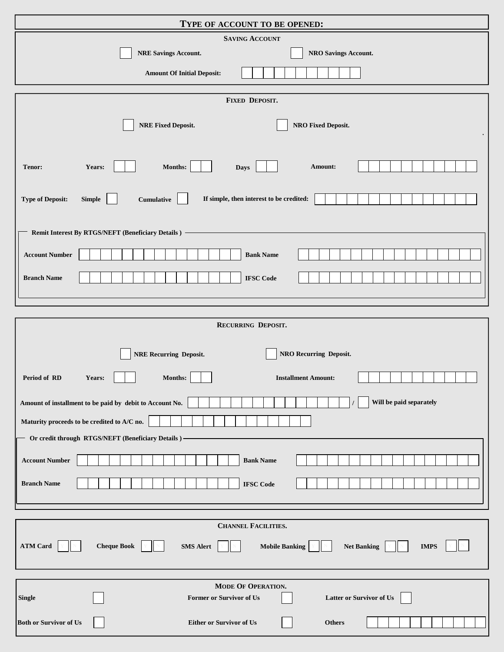| TYPE OF ACCOUNT TO BE OPENED:                                                                                           |  |  |  |  |  |  |  |  |
|-------------------------------------------------------------------------------------------------------------------------|--|--|--|--|--|--|--|--|
| <b>SAVING ACCOUNT</b>                                                                                                   |  |  |  |  |  |  |  |  |
| <b>NRE Savings Account.</b><br><b>NRO Savings Account.</b>                                                              |  |  |  |  |  |  |  |  |
| <b>Amount Of Initial Deposit:</b>                                                                                       |  |  |  |  |  |  |  |  |
| FIXED DEPOSIT.                                                                                                          |  |  |  |  |  |  |  |  |
| <b>NRE Fixed Deposit.</b><br><b>NRO Fixed Deposit.</b>                                                                  |  |  |  |  |  |  |  |  |
| Years:<br>Months:<br>Amount:<br>Tenor:<br><b>Days</b>                                                                   |  |  |  |  |  |  |  |  |
| <b>Type of Deposit:</b><br>If simple, then interest to be credited:<br><b>Simple</b><br>$\textbf{Cumulative}$           |  |  |  |  |  |  |  |  |
| Remit Interest By RTGS/NEFT (Beneficiary Details)                                                                       |  |  |  |  |  |  |  |  |
| <b>Account Number</b><br><b>Bank Name</b>                                                                               |  |  |  |  |  |  |  |  |
| <b>Branch Name</b><br><b>IFSC Code</b>                                                                                  |  |  |  |  |  |  |  |  |
|                                                                                                                         |  |  |  |  |  |  |  |  |
| RECURRING DEPOSIT.                                                                                                      |  |  |  |  |  |  |  |  |
| NRO Recurring Deposit.<br><b>NRE Recurring Deposit.</b>                                                                 |  |  |  |  |  |  |  |  |
| <b>Installment Amount:</b><br>Period of RD<br>Months:<br>Years:                                                         |  |  |  |  |  |  |  |  |
| Will be paid separately<br>Amount of installment to be paid by debit to Account No.                                     |  |  |  |  |  |  |  |  |
| Maturity proceeds to be credited to A/C no.                                                                             |  |  |  |  |  |  |  |  |
| Or credit through RTGS/NEFT (Beneficiary Details)                                                                       |  |  |  |  |  |  |  |  |
| <b>Account Number</b><br><b>Bank Name</b>                                                                               |  |  |  |  |  |  |  |  |
| <b>Branch Name</b><br><b>IFSC</b> Code                                                                                  |  |  |  |  |  |  |  |  |
| <b>CHANNEL FACILITIES.</b>                                                                                              |  |  |  |  |  |  |  |  |
| <b>Cheque Book</b><br><b>ATM Card</b><br><b>SMS Alert</b><br><b>Mobile Banking</b><br><b>Net Banking</b><br><b>IMPS</b> |  |  |  |  |  |  |  |  |
| MODE OF OPERATION.                                                                                                      |  |  |  |  |  |  |  |  |
| <b>Former or Survivor of Us</b><br><b>Latter or Survivor of Us</b><br><b>Single</b>                                     |  |  |  |  |  |  |  |  |
| <b>Both or Survivor of Us</b><br><b>Either or Survivor of Us</b><br><b>Others</b>                                       |  |  |  |  |  |  |  |  |